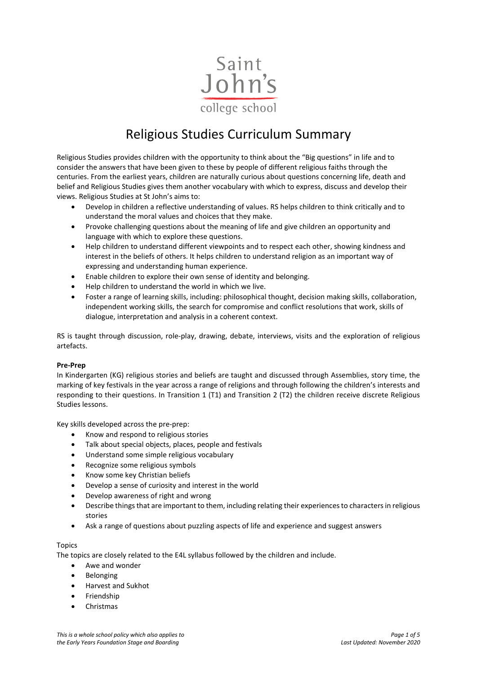

# Religious Studies Curriculum Summary

Religious Studies provides children with the opportunity to think about the "Big questions" in life and to consider the answers that have been given to these by people of different religious faiths through the centuries. From the earliest years, children are naturally curious about questions concerning life, death and belief and Religious Studies gives them another vocabulary with which to express, discuss and develop their views. Religious Studies at St John's aims to:

- Develop in children a reflective understanding of values. RS helps children to think critically and to understand the moral values and choices that they make.
- Provoke challenging questions about the meaning of life and give children an opportunity and language with which to explore these questions.
- Help children to understand different viewpoints and to respect each other, showing kindness and interest in the beliefs of others. It helps children to understand religion as an important way of expressing and understanding human experience.
- Enable children to explore their own sense of identity and belonging.
- Help children to understand the world in which we live.
- Foster a range of learning skills, including: philosophical thought, decision making skills, collaboration, independent working skills, the search for compromise and conflict resolutions that work, skills of dialogue, interpretation and analysis in a coherent context.

RS is taught through discussion, role-play, drawing, debate, interviews, visits and the exploration of religious artefacts.

#### **Pre-Prep**

In Kindergarten (KG) religious stories and beliefs are taught and discussed through Assemblies, story time, the marking of key festivals in the year across a range of religions and through following the children's interests and responding to their questions. In Transition 1 (T1) and Transition 2 (T2) the children receive discrete Religious Studies lessons.

Key skills developed across the pre-prep:

- Know and respond to religious stories
- Talk about special objects, places, people and festivals
- Understand some simple religious vocabulary
- Recognize some religious symbols
- Know some key Christian beliefs
- Develop a sense of curiosity and interest in the world
- Develop awareness of right and wrong
- Describe things that are important to them, including relating their experiences to characters in religious stories
- Ask a range of questions about puzzling aspects of life and experience and suggest answers

#### Topics

The topics are closely related to the E4L syllabus followed by the children and include.

- Awe and wonder
- **Belonging**
- Harvest and Sukhot
- **Friendship**
- Christmas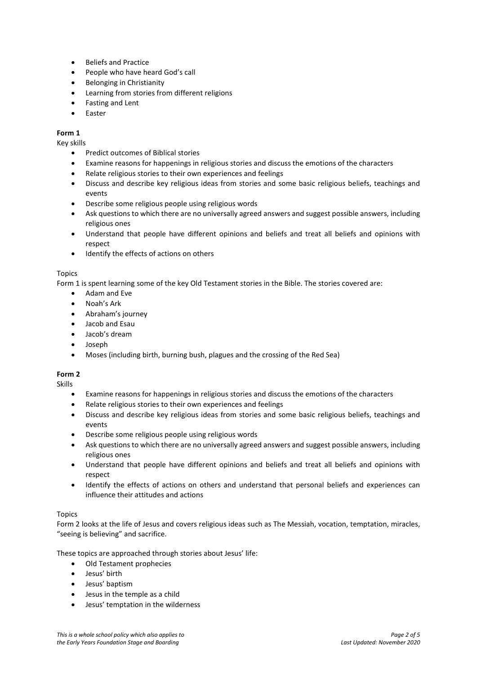- Beliefs and Practice
- People who have heard God's call
- Belonging in Christianity
- Learning from stories from different religions
- Fasting and Lent
- Easter

## **Form 1**

Key skills

- Predict outcomes of Biblical stories
- Examine reasons for happenings in religious stories and discuss the emotions of the characters
- Relate religious stories to their own experiences and feelings
- Discuss and describe key religious ideas from stories and some basic religious beliefs, teachings and events
- Describe some religious people using religious words
- Ask questions to which there are no universally agreed answers and suggest possible answers, including religious ones
- Understand that people have different opinions and beliefs and treat all beliefs and opinions with respect
- Identify the effects of actions on others

## Topics

Form 1 is spent learning some of the key Old Testament stories in the Bible. The stories covered are:

- Adam and Eve
- Noah's Ark
- Abraham's journey
- Jacob and Esau
- Jacob's dream
- Joseph
- Moses (including birth, burning bush, plagues and the crossing of the Red Sea)

## **Form 2**

Skills

- Examine reasons for happenings in religious stories and discuss the emotions of the characters
- Relate religious stories to their own experiences and feelings
- Discuss and describe key religious ideas from stories and some basic religious beliefs, teachings and events
- Describe some religious people using religious words
- Ask questions to which there are no universally agreed answers and suggest possible answers, including religious ones
- Understand that people have different opinions and beliefs and treat all beliefs and opinions with respect
- Identify the effects of actions on others and understand that personal beliefs and experiences can influence their attitudes and actions

## Topics

Form 2 looks at the life of Jesus and covers religious ideas such as The Messiah, vocation, temptation, miracles, "seeing is believing" and sacrifice.

These topics are approached through stories about Jesus' life:

- Old Testament prophecies
- Jesus' birth
- Jesus' baptism
- Jesus in the temple as a child
- Jesus' temptation in the wilderness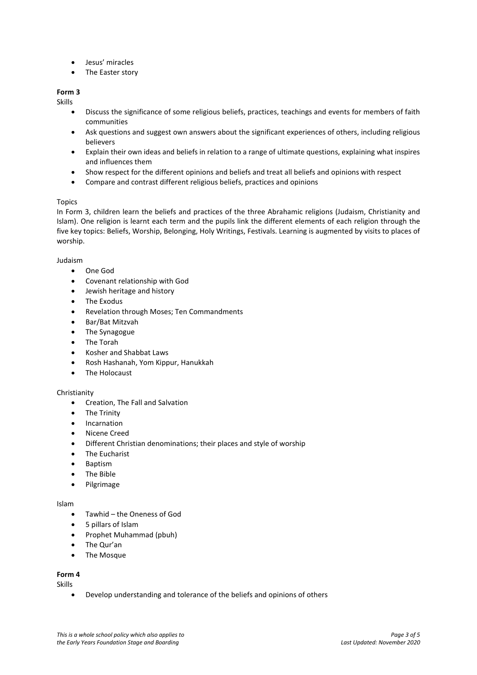- Jesus' miracles
- The Easter story

# **Form 3**

Skills

- Discuss the significance of some religious beliefs, practices, teachings and events for members of faith communities
- Ask questions and suggest own answers about the significant experiences of others, including religious believers
- Explain their own ideas and beliefs in relation to a range of ultimate questions, explaining what inspires and influences them
- Show respect for the different opinions and beliefs and treat all beliefs and opinions with respect
- Compare and contrast different religious beliefs, practices and opinions

## Topics

In Form 3, children learn the beliefs and practices of the three Abrahamic religions (Judaism, Christianity and Islam). One religion is learnt each term and the pupils link the different elements of each religion through the five key topics: Beliefs, Worship, Belonging, Holy Writings, Festivals. Learning is augmented by visits to places of worship.

#### Judaism

- One God
- Covenant relationship with God
- Jewish heritage and history
- The Exodus
- Revelation through Moses; Ten Commandments
- Bar/Bat Mitzvah
- The Synagogue
- The Torah
- Kosher and Shabbat Laws
- Rosh Hashanah, Yom Kippur, Hanukkah
- The Holocaust

#### Christianity

- Creation, The Fall and Salvation
- **The Trinity**
- Incarnation
- Nicene Creed
- Different Christian denominations; their places and style of worship
- The Eucharist
- Baptism
- The Bible
- Pilgrimage

#### Islam

- Tawhid the Oneness of God
- 5 pillars of Islam
- Prophet Muhammad (pbuh)
- The Qur'an
- The Mosque

#### **Form 4**

Skills

• Develop understanding and tolerance of the beliefs and opinions of others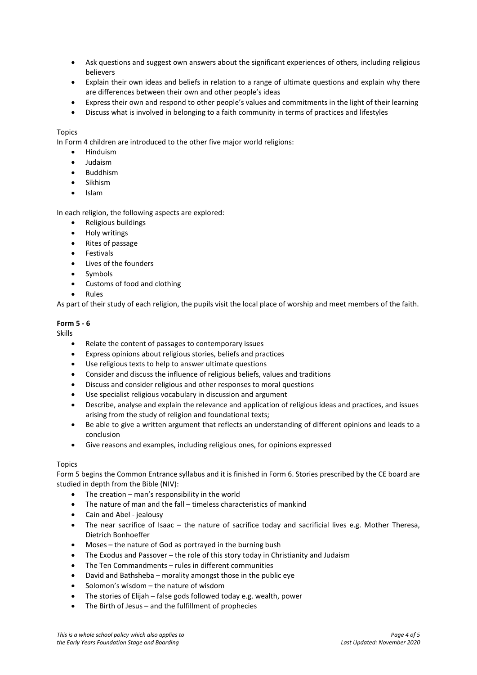- Ask questions and suggest own answers about the significant experiences of others, including religious believers
- Explain their own ideas and beliefs in relation to a range of ultimate questions and explain why there are differences between their own and other people's ideas
- Express their own and respond to other people's values and commitments in the light of their learning
- Discuss what is involved in belonging to a faith community in terms of practices and lifestyles

## Topics

In Form 4 children are introduced to the other five major world religions:

- Hinduism
- Judaism
- Buddhism
- Sikhism
- Islam

In each religion, the following aspects are explored:

- Religious buildings
- Holy writings
- Rites of passage
- Festivals
- Lives of the founders
- **Symbols**
- Customs of food and clothing
- Rules

As part of their study of each religion, the pupils visit the local place of worship and meet members of the faith.

## **Form 5 - 6**

Skills

- Relate the content of passages to contemporary issues
- Express opinions about religious stories, beliefs and practices
- Use religious texts to help to answer ultimate questions
- Consider and discuss the influence of religious beliefs, values and traditions
- Discuss and consider religious and other responses to moral questions
- Use specialist religious vocabulary in discussion and argument
- Describe, analyse and explain the relevance and application of religious ideas and practices, and issues arising from the study of religion and foundational texts;
- Be able to give a written argument that reflects an understanding of different opinions and leads to a conclusion
- Give reasons and examples, including religious ones, for opinions expressed

#### Topics

Form 5 begins the Common Entrance syllabus and it is finished in Form 6. Stories prescribed by the CE board are studied in depth from the Bible (NIV):

- The creation  $-$  man's responsibility in the world
- The nature of man and the fall timeless characteristics of mankind
- Cain and Abel jealousy
- The near sacrifice of Isaac the nature of sacrifice today and sacrificial lives e.g. Mother Theresa, Dietrich Bonhoeffer
- Moses the nature of God as portrayed in the burning bush
- The Exodus and Passover the role of this story today in Christianity and Judaism
- The Ten Commandments rules in different communities
- David and Bathsheba morality amongst those in the public eye
- Solomon's wisdom the nature of wisdom
- The stories of Elijah false gods followed today e.g. wealth, power
- The Birth of Jesus and the fulfillment of prophecies